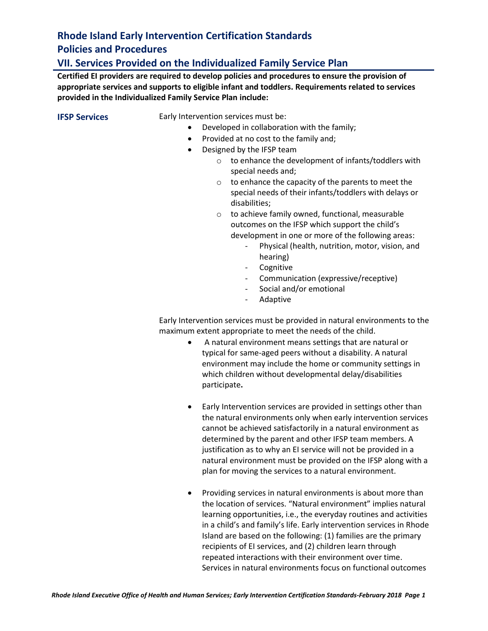### **VII. Services Provided on the Individualized Family Service Plan**

**Certified EI providers are required to develop policies and procedures to ensure the provision of appropriate services and supports to eligible infant and toddlers. Requirements related to services provided in the Individualized Family Service Plan include:** 

**IFSP Services** Early Intervention services must be:

- Developed in collaboration with the family;
- Provided at no cost to the family and;
- Designed by the IFSP team
	- o to enhance the development of infants/toddlers with special needs and;
	- o to enhance the capacity of the parents to meet the special needs of their infants/toddlers with delays or disabilities;
	- o to achieve family owned, functional, measurable outcomes on the IFSP which support the child's development in one or more of the following areas:
		- Physical (health, nutrition, motor, vision, and hearing)
		- Cognitive
		- Communication (expressive/receptive)
		- Social and/or emotional
		- Adaptive

Early Intervention services must be provided in natural environments to the maximum extent appropriate to meet the needs of the child.

- A natural environment means settings that are natural or typical for same-aged peers without a disability. A natural environment may include the home or community settings in which children without developmental delay/disabilities participate**.**
- Early Intervention services are provided in settings other than the natural environments only when early intervention services cannot be achieved satisfactorily in a natural environment as determined by the parent and other IFSP team members. A justification as to why an EI service will not be provided in a natural environment must be provided on the IFSP along with a plan for moving the services to a natural environment.
- Providing services in natural environments is about more than the location of services. "Natural environment" implies natural learning opportunities, i.e., the everyday routines and activities in a child's and family's life. Early intervention services in Rhode Island are based on the following: (1) families are the primary recipients of EI services, and (2) children learn through repeated interactions with their environment over time. Services in natural environments focus on functional outcomes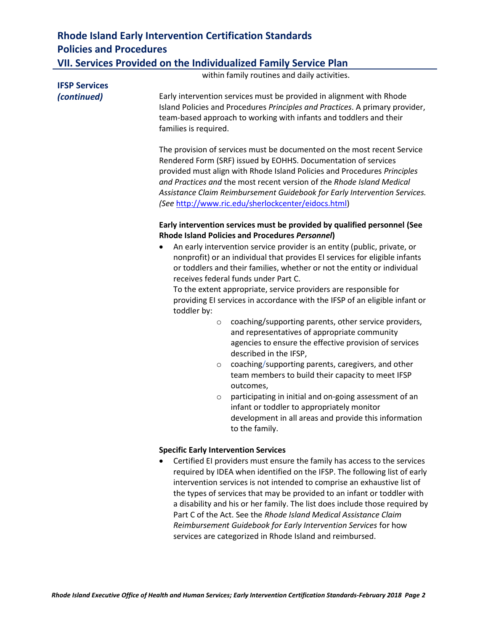| <b>Rhode Island Early Intervention Certification Standards</b>   |
|------------------------------------------------------------------|
| <b>Policies and Procedures</b>                                   |
| VII. Services Provided on the Individualized Family Service Plan |

|                      | within family routines and daily activities.                                                                                                                                                                                                                                                                                                                                                                                                                                                                                                                                                                                                                                                                                                                                  |
|----------------------|-------------------------------------------------------------------------------------------------------------------------------------------------------------------------------------------------------------------------------------------------------------------------------------------------------------------------------------------------------------------------------------------------------------------------------------------------------------------------------------------------------------------------------------------------------------------------------------------------------------------------------------------------------------------------------------------------------------------------------------------------------------------------------|
| <b>IFSP Services</b> |                                                                                                                                                                                                                                                                                                                                                                                                                                                                                                                                                                                                                                                                                                                                                                               |
| (continued)          | Early intervention services must be provided in alignment with Rhode<br>Island Policies and Procedures Principles and Practices. A primary provider,<br>team-based approach to working with infants and toddlers and their<br>families is required.                                                                                                                                                                                                                                                                                                                                                                                                                                                                                                                           |
|                      | The provision of services must be documented on the most recent Service<br>Rendered Form (SRF) issued by EOHHS. Documentation of services<br>provided must align with Rhode Island Policies and Procedures Principles<br>and Practices and the most recent version of the Rhode Island Medical<br>Assistance Claim Reimbursement Guidebook for Early Intervention Services.<br>(See http://www.ric.edu/sherlockcenter/eidocs.html)                                                                                                                                                                                                                                                                                                                                            |
|                      | Early intervention services must be provided by qualified personnel (See<br><b>Rhode Island Policies and Procedures Personnel)</b>                                                                                                                                                                                                                                                                                                                                                                                                                                                                                                                                                                                                                                            |
|                      | An early intervention service provider is an entity (public, private, or<br>٠<br>nonprofit) or an individual that provides EI services for eligible infants<br>or toddlers and their families, whether or not the entity or individual<br>receives federal funds under Part C.<br>To the extent appropriate, service providers are responsible for<br>providing EI services in accordance with the IFSP of an eligible infant or<br>toddler by:<br>coaching/supporting parents, other service providers,<br>$\circ$<br>and representatives of appropriate community<br>agencies to ensure the effective provision of services<br>described in the IFSP,<br>coaching/supporting parents, caregivers, and other<br>$\circ$<br>team members to build their capacity to meet IFSP |
|                      | outcomes,<br>participating in initial and on-going assessment of an<br>$\circ$<br>infant or toddler to appropriately monitor<br>development in all areas and provide this information<br>to the family.                                                                                                                                                                                                                                                                                                                                                                                                                                                                                                                                                                       |
|                      |                                                                                                                                                                                                                                                                                                                                                                                                                                                                                                                                                                                                                                                                                                                                                                               |
|                      | <b>Specific Early Intervention Services</b><br>Certified EI providers must ensure the family has access to the services<br>$\bullet$<br>required by IDEA when identified on the IFSP. The following list of early<br>intervention services is not intended to comprise an exhaustive list of<br>the types of services that may be provided to an infant or toddler with<br>a disability and his or her family. The list does include those required by<br>Part C of the Act. See the Rhode Island Medical Assistance Claim                                                                                                                                                                                                                                                    |

*Reimbursement Guidebook for Early Intervention Services* for how

services are categorized in Rhode Island and reimbursed.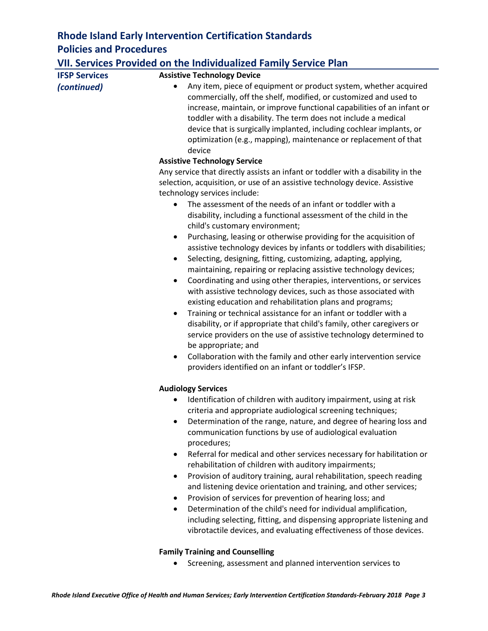|                      | VII. Services Provided on the Individualized Family Service Plan                                                                                                                                                                                                                                                                                                                                                                                                                                                                                                                                                                                                                                                                                                                                                                                                                                                                                                                                                                                                                                                                                                                                                                                                                                    |
|----------------------|-----------------------------------------------------------------------------------------------------------------------------------------------------------------------------------------------------------------------------------------------------------------------------------------------------------------------------------------------------------------------------------------------------------------------------------------------------------------------------------------------------------------------------------------------------------------------------------------------------------------------------------------------------------------------------------------------------------------------------------------------------------------------------------------------------------------------------------------------------------------------------------------------------------------------------------------------------------------------------------------------------------------------------------------------------------------------------------------------------------------------------------------------------------------------------------------------------------------------------------------------------------------------------------------------------|
| <b>IFSP Services</b> | <b>Assistive Technology Device</b>                                                                                                                                                                                                                                                                                                                                                                                                                                                                                                                                                                                                                                                                                                                                                                                                                                                                                                                                                                                                                                                                                                                                                                                                                                                                  |
| (continued)          | Any item, piece of equipment or product system, whether acquired<br>commercially, off the shelf, modified, or customized and used to<br>increase, maintain, or improve functional capabilities of an infant or<br>toddler with a disability. The term does not include a medical<br>device that is surgically implanted, including cochlear implants, or<br>optimization (e.g., mapping), maintenance or replacement of that<br>device                                                                                                                                                                                                                                                                                                                                                                                                                                                                                                                                                                                                                                                                                                                                                                                                                                                              |
|                      | <b>Assistive Technology Service</b>                                                                                                                                                                                                                                                                                                                                                                                                                                                                                                                                                                                                                                                                                                                                                                                                                                                                                                                                                                                                                                                                                                                                                                                                                                                                 |
|                      | Any service that directly assists an infant or toddler with a disability in the<br>selection, acquisition, or use of an assistive technology device. Assistive<br>technology services include:<br>The assessment of the needs of an infant or toddler with a<br>disability, including a functional assessment of the child in the<br>child's customary environment;<br>Purchasing, leasing or otherwise providing for the acquisition of<br>$\bullet$<br>assistive technology devices by infants or toddlers with disabilities;<br>Selecting, designing, fitting, customizing, adapting, applying,<br>٠<br>maintaining, repairing or replacing assistive technology devices;<br>Coordinating and using other therapies, interventions, or services<br>$\bullet$<br>with assistive technology devices, such as those associated with<br>existing education and rehabilitation plans and programs;<br>Training or technical assistance for an infant or toddler with a<br>$\bullet$<br>disability, or if appropriate that child's family, other caregivers or<br>service providers on the use of assistive technology determined to<br>be appropriate; and<br>Collaboration with the family and other early intervention service<br>$\bullet$<br>providers identified on an infant or toddler's IFSP. |
|                      |                                                                                                                                                                                                                                                                                                                                                                                                                                                                                                                                                                                                                                                                                                                                                                                                                                                                                                                                                                                                                                                                                                                                                                                                                                                                                                     |
|                      | <b>Audiology Services</b><br>Identification of children with auditory impairment, using at risk<br>criteria and appropriate audiological screening techniques;<br>Determination of the range, nature, and degree of hearing loss and<br>communication functions by use of audiological evaluation<br>procedures;<br>Referral for medical and other services necessary for habilitation or<br>٠<br>rehabilitation of children with auditory impairments;<br>Provision of auditory training, aural rehabilitation, speech reading<br>٠<br>and listening device orientation and training, and other services;<br>Provision of services for prevention of hearing loss; and<br>٠<br>Determination of the child's need for individual amplification,<br>٠<br>including selecting, fitting, and dispensing appropriate listening and<br>vibrotactile devices, and evaluating effectiveness of those devices.                                                                                                                                                                                                                                                                                                                                                                                              |

### **Family Training and Counselling**

• Screening, assessment and planned intervention services to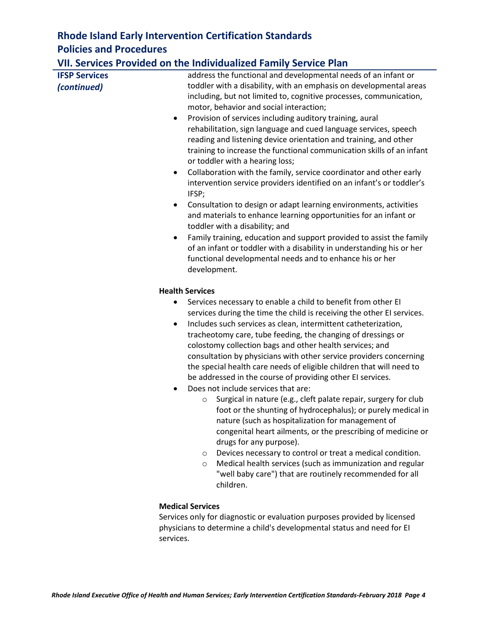### **VII. Services Provided on the Individualized Family Service Plan**

|                      | <b><i>INTERNATION COMMITTEE CONTRACT TWITTERS</i></b>                                                                                                                                                                                                                                                                                                                                                                                                                                                                                                                                                                                                                                                                                                                                                                                                       |  |  |  |
|----------------------|-------------------------------------------------------------------------------------------------------------------------------------------------------------------------------------------------------------------------------------------------------------------------------------------------------------------------------------------------------------------------------------------------------------------------------------------------------------------------------------------------------------------------------------------------------------------------------------------------------------------------------------------------------------------------------------------------------------------------------------------------------------------------------------------------------------------------------------------------------------|--|--|--|
| <b>IFSP Services</b> | address the functional and developmental needs of an infant or                                                                                                                                                                                                                                                                                                                                                                                                                                                                                                                                                                                                                                                                                                                                                                                              |  |  |  |
| (continued)          | toddler with a disability, with an emphasis on developmental areas<br>including, but not limited to, cognitive processes, communication,<br>motor, behavior and social interaction;                                                                                                                                                                                                                                                                                                                                                                                                                                                                                                                                                                                                                                                                         |  |  |  |
| ٠                    | Provision of services including auditory training, aural                                                                                                                                                                                                                                                                                                                                                                                                                                                                                                                                                                                                                                                                                                                                                                                                    |  |  |  |
|                      | rehabilitation, sign language and cued language services, speech                                                                                                                                                                                                                                                                                                                                                                                                                                                                                                                                                                                                                                                                                                                                                                                            |  |  |  |
|                      | reading and listening device orientation and training, and other<br>training to increase the functional communication skills of an infant<br>or toddler with a hearing loss;                                                                                                                                                                                                                                                                                                                                                                                                                                                                                                                                                                                                                                                                                |  |  |  |
| ٠                    | Collaboration with the family, service coordinator and other early<br>intervention service providers identified on an infant's or toddler's<br>IFSP;                                                                                                                                                                                                                                                                                                                                                                                                                                                                                                                                                                                                                                                                                                        |  |  |  |
|                      | Consultation to design or adapt learning environments, activities<br>and materials to enhance learning opportunities for an infant or<br>toddler with a disability; and                                                                                                                                                                                                                                                                                                                                                                                                                                                                                                                                                                                                                                                                                     |  |  |  |
| $\bullet$            | Family training, education and support provided to assist the family<br>of an infant or toddler with a disability in understanding his or her                                                                                                                                                                                                                                                                                                                                                                                                                                                                                                                                                                                                                                                                                                               |  |  |  |
|                      | functional developmental needs and to enhance his or her                                                                                                                                                                                                                                                                                                                                                                                                                                                                                                                                                                                                                                                                                                                                                                                                    |  |  |  |
|                      | development.                                                                                                                                                                                                                                                                                                                                                                                                                                                                                                                                                                                                                                                                                                                                                                                                                                                |  |  |  |
|                      | <b>Health Services</b>                                                                                                                                                                                                                                                                                                                                                                                                                                                                                                                                                                                                                                                                                                                                                                                                                                      |  |  |  |
| $\bullet$            | Services necessary to enable a child to benefit from other EI<br>services during the time the child is receiving the other EI services.<br>Includes such services as clean, intermittent catheterization,<br>tracheotomy care, tube feeding, the changing of dressings or<br>colostomy collection bags and other health services; and<br>consultation by physicians with other service providers concerning<br>the special health care needs of eligible children that will need to<br>be addressed in the course of providing other EI services.<br>Does not include services that are:<br>Surgical in nature (e.g., cleft palate repair, surgery for club<br>$\circ$<br>foot or the shunting of hydrocephalus); or purely medical in<br>nature (such as hospitalization for management of<br>congenital heart ailments, or the prescribing of medicine or |  |  |  |
|                      | drugs for any purpose).                                                                                                                                                                                                                                                                                                                                                                                                                                                                                                                                                                                                                                                                                                                                                                                                                                     |  |  |  |
|                      | Devices necessary to control or treat a medical condition.<br>$\circ$<br>Medical health services (such as immunization and regular<br>$\circ$<br>"well baby care") that are routinely recommended for all<br>children.                                                                                                                                                                                                                                                                                                                                                                                                                                                                                                                                                                                                                                      |  |  |  |
|                      | <b>Medical Services</b>                                                                                                                                                                                                                                                                                                                                                                                                                                                                                                                                                                                                                                                                                                                                                                                                                                     |  |  |  |

Services only for diagnostic or evaluation purposes provided by licensed physicians to determine a child's developmental status and need for EI services.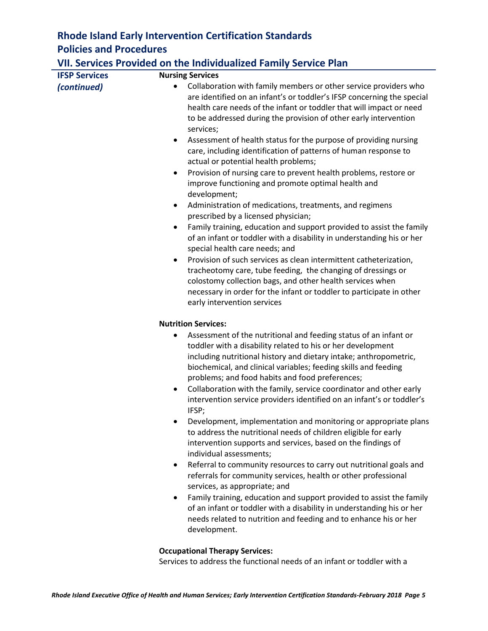| <b>VII. Services Provided on the Individualized Family Service Plan</b> |                                                                                                                                                                                                                                                                                                                                                                                                                                                                                                                                                                                                                                                                                                                                                                                                                                                                                                                                                                                                                                                                                                                                                                                                                                                                                                 |  |
|-------------------------------------------------------------------------|-------------------------------------------------------------------------------------------------------------------------------------------------------------------------------------------------------------------------------------------------------------------------------------------------------------------------------------------------------------------------------------------------------------------------------------------------------------------------------------------------------------------------------------------------------------------------------------------------------------------------------------------------------------------------------------------------------------------------------------------------------------------------------------------------------------------------------------------------------------------------------------------------------------------------------------------------------------------------------------------------------------------------------------------------------------------------------------------------------------------------------------------------------------------------------------------------------------------------------------------------------------------------------------------------|--|
| <b>IFSP Services</b>                                                    | <b>Nursing Services</b>                                                                                                                                                                                                                                                                                                                                                                                                                                                                                                                                                                                                                                                                                                                                                                                                                                                                                                                                                                                                                                                                                                                                                                                                                                                                         |  |
| (continued)                                                             | Collaboration with family members or other service providers who<br>$\bullet$<br>are identified on an infant's or toddler's IFSP concerning the special<br>health care needs of the infant or toddler that will impact or need<br>to be addressed during the provision of other early intervention<br>services;<br>Assessment of health status for the purpose of providing nursing<br>٠<br>care, including identification of patterns of human response to<br>actual or potential health problems;<br>Provision of nursing care to prevent health problems, restore or<br>$\bullet$<br>improve functioning and promote optimal health and<br>development;<br>Administration of medications, treatments, and regimens<br>$\bullet$<br>prescribed by a licensed physician;<br>Family training, education and support provided to assist the family<br>$\bullet$<br>of an infant or toddler with a disability in understanding his or her<br>special health care needs; and<br>Provision of such services as clean intermittent catheterization,<br>$\bullet$<br>tracheotomy care, tube feeding, the changing of dressings or<br>colostomy collection bags, and other health services when<br>necessary in order for the infant or toddler to participate in other<br>early intervention services |  |
|                                                                         | <b>Nutrition Services:</b>                                                                                                                                                                                                                                                                                                                                                                                                                                                                                                                                                                                                                                                                                                                                                                                                                                                                                                                                                                                                                                                                                                                                                                                                                                                                      |  |
|                                                                         | Assessment of the nutritional and feeding status of an infant or<br>٠<br>toddler with a disability related to his or her development<br>including nutritional history and dietary intake; anthropometric,<br>biochemical, and clinical variables; feeding skills and feeding<br>problems; and food habits and food preferences;<br>Collaboration with the family, service coordinator and other early<br>$\bullet$                                                                                                                                                                                                                                                                                                                                                                                                                                                                                                                                                                                                                                                                                                                                                                                                                                                                              |  |
|                                                                         | intervention service providers identified on an infant's or toddler's<br>IFSP;<br>Development, implementation and monitoring or appropriate plans                                                                                                                                                                                                                                                                                                                                                                                                                                                                                                                                                                                                                                                                                                                                                                                                                                                                                                                                                                                                                                                                                                                                               |  |
|                                                                         | to address the nutritional needs of children eligible for early                                                                                                                                                                                                                                                                                                                                                                                                                                                                                                                                                                                                                                                                                                                                                                                                                                                                                                                                                                                                                                                                                                                                                                                                                                 |  |

individual assessments; • Referral to community resources to carry out nutritional goals and referrals for community services, health or other professional services, as appropriate; and

intervention supports and services, based on the findings of

• Family training, education and support provided to assist the family of an infant or toddler with a disability in understanding his or her needs related to nutrition and feeding and to enhance his or her development.

#### **Occupational Therapy Services:**

Services to address the functional needs of an infant or toddler with a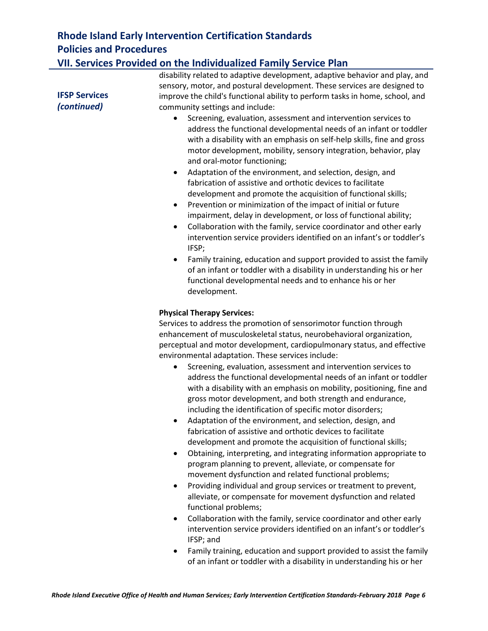### **VII. Services Provided on the Individualized Family Service Plan**

|                      | disability related to adaptive development, adaptive behavior and play, and<br>sensory, motor, and postural development. These services are designed to                                                                                                                                                                                                                                                                                                                                                                                                                                                                                                                                                                                                                                                                                                                                                                                                                                                                                                                                |  |  |  |
|----------------------|----------------------------------------------------------------------------------------------------------------------------------------------------------------------------------------------------------------------------------------------------------------------------------------------------------------------------------------------------------------------------------------------------------------------------------------------------------------------------------------------------------------------------------------------------------------------------------------------------------------------------------------------------------------------------------------------------------------------------------------------------------------------------------------------------------------------------------------------------------------------------------------------------------------------------------------------------------------------------------------------------------------------------------------------------------------------------------------|--|--|--|
| <b>IFSP Services</b> | improve the child's functional ability to perform tasks in home, school, and                                                                                                                                                                                                                                                                                                                                                                                                                                                                                                                                                                                                                                                                                                                                                                                                                                                                                                                                                                                                           |  |  |  |
| (continued)          | community settings and include:                                                                                                                                                                                                                                                                                                                                                                                                                                                                                                                                                                                                                                                                                                                                                                                                                                                                                                                                                                                                                                                        |  |  |  |
|                      | Screening, evaluation, assessment and intervention services to<br>٠<br>address the functional developmental needs of an infant or toddler<br>with a disability with an emphasis on self-help skills, fine and gross<br>motor development, mobility, sensory integration, behavior, play<br>and oral-motor functioning;<br>Adaptation of the environment, and selection, design, and<br>$\bullet$<br>fabrication of assistive and orthotic devices to facilitate<br>development and promote the acquisition of functional skills;                                                                                                                                                                                                                                                                                                                                                                                                                                                                                                                                                       |  |  |  |
|                      | Prevention or minimization of the impact of initial or future<br>٠<br>impairment, delay in development, or loss of functional ability;<br>Collaboration with the family, service coordinator and other early<br>$\bullet$<br>intervention service providers identified on an infant's or toddler's<br>IFSP;                                                                                                                                                                                                                                                                                                                                                                                                                                                                                                                                                                                                                                                                                                                                                                            |  |  |  |
|                      | Family training, education and support provided to assist the family<br>$\bullet$<br>of an infant or toddler with a disability in understanding his or her<br>functional developmental needs and to enhance his or her<br>development.                                                                                                                                                                                                                                                                                                                                                                                                                                                                                                                                                                                                                                                                                                                                                                                                                                                 |  |  |  |
|                      | <b>Physical Therapy Services:</b>                                                                                                                                                                                                                                                                                                                                                                                                                                                                                                                                                                                                                                                                                                                                                                                                                                                                                                                                                                                                                                                      |  |  |  |
|                      | Services to address the promotion of sensorimotor function through                                                                                                                                                                                                                                                                                                                                                                                                                                                                                                                                                                                                                                                                                                                                                                                                                                                                                                                                                                                                                     |  |  |  |
|                      | enhancement of musculoskeletal status, neurobehavioral organization,                                                                                                                                                                                                                                                                                                                                                                                                                                                                                                                                                                                                                                                                                                                                                                                                                                                                                                                                                                                                                   |  |  |  |
|                      | perceptual and motor development, cardiopulmonary status, and effective<br>environmental adaptation. These services include:                                                                                                                                                                                                                                                                                                                                                                                                                                                                                                                                                                                                                                                                                                                                                                                                                                                                                                                                                           |  |  |  |
|                      | Screening, evaluation, assessment and intervention services to<br>٠<br>address the functional developmental needs of an infant or toddler<br>with a disability with an emphasis on mobility, positioning, fine and<br>gross motor development, and both strength and endurance,<br>including the identification of specific motor disorders;<br>Adaptation of the environment, and selection, design, and<br>٠<br>fabrication of assistive and orthotic devices to facilitate<br>development and promote the acquisition of functional skills;<br>Obtaining, interpreting, and integrating information appropriate to<br>$\bullet$<br>program planning to prevent, alleviate, or compensate for<br>movement dysfunction and related functional problems;<br>Providing individual and group services or treatment to prevent,<br>٠<br>alleviate, or compensate for movement dysfunction and related<br>functional problems;<br>Collaboration with the family, service coordinator and other early<br>$\bullet$<br>intervention service providers identified on an infant's or toddler's |  |  |  |
|                      | IFSP; and<br>Family training, education and support provided to assist the family<br>$\bullet$                                                                                                                                                                                                                                                                                                                                                                                                                                                                                                                                                                                                                                                                                                                                                                                                                                                                                                                                                                                         |  |  |  |
|                      | of an infant or toddler with a disability in understanding his or her                                                                                                                                                                                                                                                                                                                                                                                                                                                                                                                                                                                                                                                                                                                                                                                                                                                                                                                                                                                                                  |  |  |  |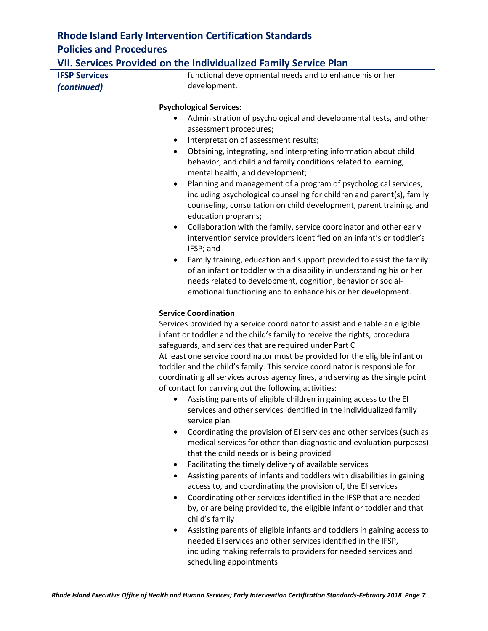### **VII. Services Provided on the Individualized Family Service Plan**

| <b>IFSP Services</b> |  |
|----------------------|--|
| (continued)          |  |

functional developmental needs and to enhance his or her development.

#### **Psychological Services:**

- Administration of psychological and developmental tests, and other assessment procedures;
- Interpretation of assessment results;
- Obtaining, integrating, and interpreting information about child behavior, and child and family conditions related to learning, mental health, and development;
- Planning and management of a program of psychological services, including psychological counseling for children and parent(s), family counseling, consultation on child development, parent training, and education programs;
- Collaboration with the family, service coordinator and other early intervention service providers identified on an infant's or toddler's IFSP; and
- Family training, education and support provided to assist the family of an infant or toddler with a disability in understanding his or her needs related to development, cognition, behavior or socialemotional functioning and to enhance his or her development.

#### **Service Coordination**

Services provided by a service coordinator to assist and enable an eligible infant or toddler and the child's family to receive the rights, procedural safeguards, and services that are required under Part C At least one service coordinator must be provided for the eligible infant or toddler and the child's family. This service coordinator is responsible for coordinating all services across agency lines, and serving as the single point of contact for carrying out the following activities:

- Assisting parents of eligible children in gaining access to the EI services and other services identified in the individualized family service plan
- Coordinating the provision of EI services and other services (such as medical services for other than diagnostic and evaluation purposes) that the child needs or is being provided
- Facilitating the timely delivery of available services
- Assisting parents of infants and toddlers with disabilities in gaining access to, and coordinating the provision of, the EI services
- Coordinating other services identified in the IFSP that are needed by, or are being provided to, the eligible infant or toddler and that child's family
- Assisting parents of eligible infants and toddlers in gaining access to needed EI services and other services identified in the IFSP, including making referrals to providers for needed services and scheduling appointments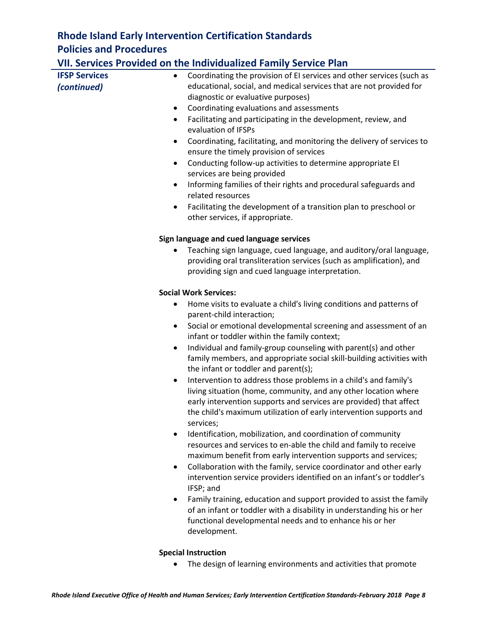# **VII. Services Provided on the Individualized Family Service Plan**

|                      | VII. Services Provided on the Individualized Family Service Plan                                                                            |
|----------------------|---------------------------------------------------------------------------------------------------------------------------------------------|
| <b>IFSP Services</b> | Coordinating the provision of EI services and other services (such as                                                                       |
| (continued)          | educational, social, and medical services that are not provided for                                                                         |
|                      | diagnostic or evaluative purposes)                                                                                                          |
| $\bullet$            | Coordinating evaluations and assessments                                                                                                    |
| $\bullet$            | Facilitating and participating in the development, review, and                                                                              |
|                      | evaluation of IFSPs                                                                                                                         |
| $\bullet$            | Coordinating, facilitating, and monitoring the delivery of services to                                                                      |
|                      | ensure the timely provision of services                                                                                                     |
| ٠                    | Conducting follow-up activities to determine appropriate EI                                                                                 |
|                      | services are being provided                                                                                                                 |
| $\bullet$            | Informing families of their rights and procedural safeguards and<br>related resources                                                       |
| ٠                    | Facilitating the development of a transition plan to preschool or                                                                           |
|                      | other services, if appropriate.                                                                                                             |
|                      | Sign language and cued language services                                                                                                    |
|                      | Teaching sign language, cued language, and auditory/oral language,                                                                          |
|                      | providing oral transliteration services (such as amplification), and                                                                        |
|                      | providing sign and cued language interpretation.                                                                                            |
|                      | <b>Social Work Services:</b>                                                                                                                |
| $\bullet$            | Home visits to evaluate a child's living conditions and patterns of<br>parent-child interaction;                                            |
| ٠                    | Social or emotional developmental screening and assessment of an                                                                            |
|                      | infant or toddler within the family context;                                                                                                |
| $\bullet$            | Individual and family-group counseling with parent(s) and other                                                                             |
|                      | family members, and appropriate social skill-building activities with                                                                       |
|                      | the infant or toddler and parent(s);                                                                                                        |
| $\bullet$            | Intervention to address those problems in a child's and family's                                                                            |
|                      | living situation (home, community, and any other location where                                                                             |
|                      | early intervention supports and services are provided) that affect                                                                          |
|                      | the child's maximum utilization of early intervention supports and                                                                          |
|                      | services;                                                                                                                                   |
|                      | Identification, mobilization, and coordination of community                                                                                 |
|                      | resources and services to en-able the child and family to receive                                                                           |
|                      | maximum benefit from early intervention supports and services;                                                                              |
| $\bullet$            | Collaboration with the family, service coordinator and other early<br>intervention service providers identified on an infant's or toddler's |
|                      | IFSP; and                                                                                                                                   |
| ٠                    | Family training, education and support provided to assist the family                                                                        |
|                      | of an infant or toddler with a disability in understanding his or her                                                                       |
|                      | functional developmental needs and to enhance his or her                                                                                    |
|                      | development.                                                                                                                                |

#### **Special Instruction**

• The design of learning environments and activities that promote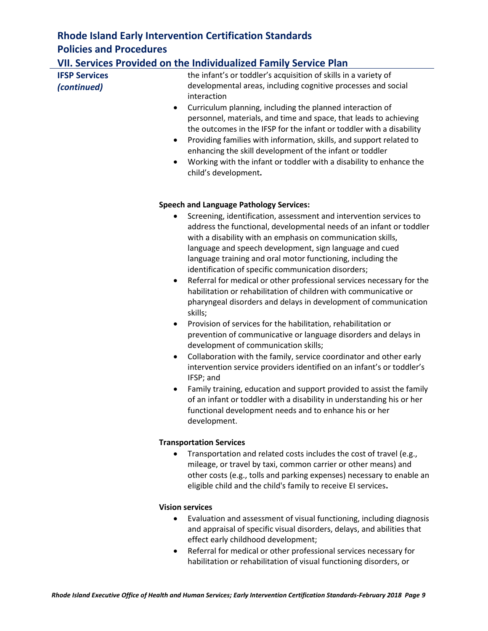### **VII. Services Provided on the Individualized Family Service Plan**

| <b>IFSP Services</b> | the infant's or toddler's acquisition of skills in a variety of |  |
|----------------------|-----------------------------------------------------------------|--|
| (continued)          | developmental areas, including cognitive processes and social   |  |
|                      | interaction                                                     |  |
|                      | Curriculum planning including the planned interaction of        |  |

- Curriculum planning, including the planned interaction of personnel, materials, and time and space, that leads to achieving the outcomes in the IFSP for the infant or toddler with a disability
- Providing families with information, skills, and support related to enhancing the skill development of the infant or toddler
- Working with the infant or toddler with a disability to enhance the child's development**.**

#### **Speech and Language Pathology Services:**

- Screening, identification, assessment and intervention services to address the functional, developmental needs of an infant or toddler with a disability with an emphasis on communication skills, language and speech development, sign language and cued language training and oral motor functioning, including the identification of specific communication disorders;
- Referral for medical or other professional services necessary for the habilitation or rehabilitation of children with communicative or pharyngeal disorders and delays in development of communication skills;
- Provision of services for the habilitation, rehabilitation or prevention of communicative or language disorders and delays in development of communication skills;
- Collaboration with the family, service coordinator and other early intervention service providers identified on an infant's or toddler's IFSP; and
- Family training, education and support provided to assist the family of an infant or toddler with a disability in understanding his or her functional development needs and to enhance his or her development.

#### **Transportation Services**

• Transportation and related costs includes the cost of travel (e.g., mileage, or travel by taxi, common carrier or other means) and other costs (e.g., tolls and parking expenses) necessary to enable an eligible child and the child's family to receive EI services**.**

#### **Vision services**

- Evaluation and assessment of visual functioning, including diagnosis and appraisal of specific visual disorders, delays, and abilities that effect early childhood development;
- Referral for medical or other professional services necessary for habilitation or rehabilitation of visual functioning disorders, or